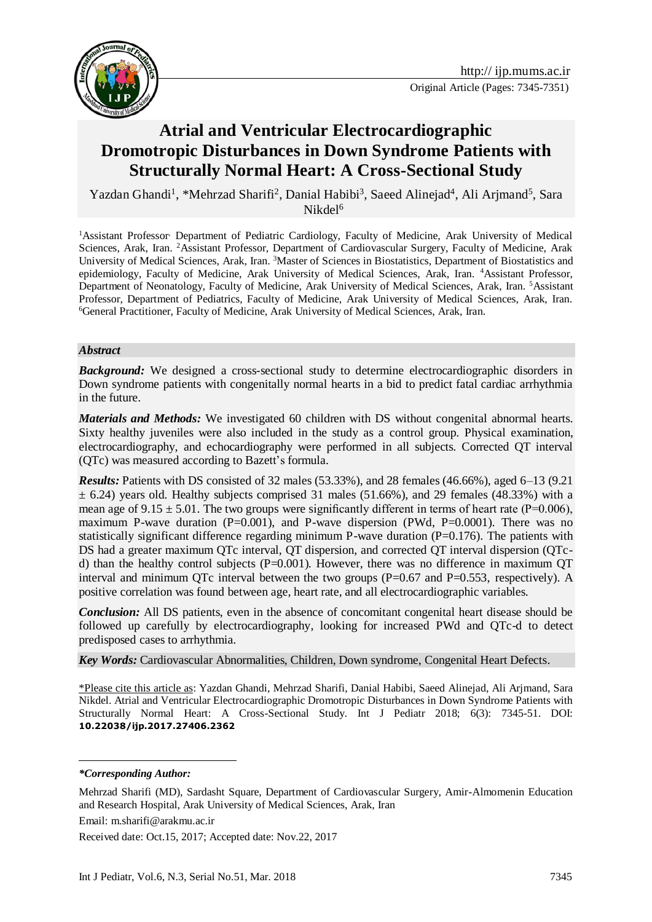

# **Atrial and Ventricular Electrocardiographic Dromotropic Disturbances in Down Syndrome Patients with Structurally Normal Heart: A Cross-Sectional Study**

Yazdan Ghandi<sup>1</sup>, \*Mehrzad Sharifi<sup>2</sup>, Danial Habibi<sup>3</sup>, Saeed Alinejad<sup>4</sup>, Ali Arjmand<sup>5</sup>, Sara  $Nikdel<sup>6</sup>$ 

<sup>1</sup>Assistant Professor, Department of Pediatric Cardiology, Faculty of Medicine, Arak University of Medical Sciences, Arak, Iran. <sup>2</sup>Assistant Professor, Department of Cardiovascular Surgery, Faculty of Medicine, Arak University of Medical Sciences, Arak, Iran. <sup>3</sup>Master of Sciences in Biostatistics, Department of Biostatistics and epidemiology, Faculty of Medicine, Arak University of Medical Sciences, Arak, Iran. <sup>4</sup>Assistant Professor, Department of Neonatology, Faculty of Medicine, Arak University of Medical Sciences, Arak, Iran. <sup>5</sup>Assistant Professor, Department of Pediatrics, Faculty of Medicine, Arak University of Medical Sciences, Arak, Iran. <sup>6</sup>General Practitioner, Faculty of Medicine, Arak University of Medical Sciences, Arak, Iran.

#### *Abstract*

**Background:** We designed a cross-sectional study to determine electrocardiographic disorders in Down syndrome patients with congenitally normal hearts in a bid to predict fatal cardiac arrhythmia in the future.

*Materials and Methods:* We investigated 60 children with DS without congenital abnormal hearts. Sixty healthy juveniles were also included in the study as a control group. Physical examination, electrocardiography, and echocardiography were performed in all subjects. Corrected QT interval (QTc) was measured according to Bazett's formula.

*Results:* Patients with DS consisted of 32 males (53.33%), and 28 females (46.66%), aged 6–13 (9.21  $\pm$  6.24) years old. Healthy subjects comprised 31 males (51.66%), and 29 females (48.33%) with a mean age of  $9.15 \pm 5.01$ . The two groups were significantly different in terms of heart rate (P=0.006), maximum P-wave duration  $(P=0.001)$ , and P-wave dispersion  $(PWd, P=0.0001)$ . There was no statistically significant difference regarding minimum P-wave duration  $(P=0.176)$ . The patients with DS had a greater maximum QTc interval, QT dispersion, and corrected QT interval dispersion (QTcd) than the healthy control subjects ( $P=0.001$ ). However, there was no difference in maximum QT interval and minimum QTc interval between the two groups  $(P=0.67$  and  $P=0.553$ , respectively). A positive correlation was found between age, heart rate, and all electrocardiographic variables.

*Conclusion:* All DS patients, even in the absence of concomitant congenital heart disease should be followed up carefully by electrocardiography, looking for increased PWd and QTc-d to detect predisposed cases to arrhythmia.

*Key Words:* Cardiovascular Abnormalities, Children, Down syndrome, Congenital Heart Defects.

\*Please cite this article as: Yazdan Ghandi, Mehrzad Sharifi, Danial Habibi, Saeed Alinejad, Ali Arjmand, Sara Nikdel. Atrial and Ventricular Electrocardiographic Dromotropic Disturbances in Down Syndrome Patients with Structurally Normal Heart: A Cross-Sectional Study. Int J Pediatr 2018; 6(3): 7345-51. DOI: **10.22038/ijp.2017.27406.2362**

<u>.</u>

Email: m.sharifi@arakmu.ac.ir

Received date: Oct.15, 2017; Accepted date: Nov.22, 2017

*<sup>\*</sup>Corresponding Author:*

Mehrzad Sharifi (MD), Sardasht Square, Department of Cardiovascular Surgery, Amir-Almomenin Education and Research Hospital, Arak University of Medical Sciences, Arak, Iran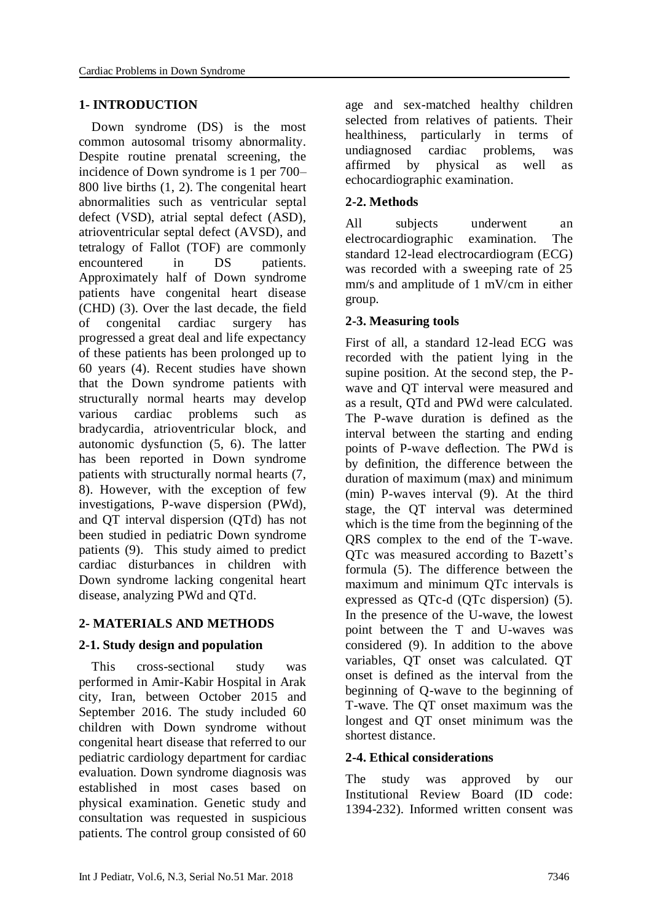#### **1- INTRODUCTION**

 Down syndrome (DS) is the most common autosomal trisomy abnormality. Despite routine prenatal screening, the incidence of Down syndrome is 1 per 700– 800 live births (1, 2). The congenital heart abnormalities such as ventricular septal defect (VSD), atrial septal defect (ASD), atrioventricular septal defect (AVSD), and tetralogy of Fallot (TOF) are commonly encountered in DS patients. Approximately half of Down syndrome patients have congenital heart disease (CHD) (3). Over the last decade, the field of congenital cardiac surgery has progressed a great deal and life expectancy of these patients has been prolonged up to 60 years (4). Recent studies have shown that the Down syndrome patients with structurally normal hearts may develop various cardiac problems such as bradycardia, atrioventricular block, and autonomic dysfunction (5, 6). The latter has been reported in Down syndrome patients with structurally normal hearts (7, 8). However, with the exception of few investigations, P-wave dispersion (PWd), and QT interval dispersion (QTd) has not been studied in pediatric Down syndrome patients (9). This study aimed to predict cardiac disturbances in children with Down syndrome lacking congenital heart disease, analyzing PWd and QTd.

## **2- MATERIALS AND METHODS**

## **2-1. Study design and population**

 This cross-sectional study was performed in Amir-Kabir Hospital in Arak city, Iran, between October 2015 and September 2016. The study included 60 children with Down syndrome without congenital heart disease that referred to our pediatric cardiology department for cardiac evaluation. Down syndrome diagnosis was established in most cases based on physical examination. Genetic study and consultation was requested in suspicious patients. The control group consisted of 60 age and sex-matched healthy children selected from relatives of patients. Their healthiness, particularly in terms of undiagnosed cardiac problems, was affirmed by physical as well as echocardiographic examination.

## **2-2. Methods**

All subjects underwent an electrocardiographic examination. The standard 12-lead electrocardiogram (ECG) was recorded with a sweeping rate of 25 mm/s and amplitude of 1 mV/cm in either group.

## **2-3. Measuring tools**

First of all, a standard 12-lead ECG was recorded with the patient lying in the supine position. At the second step, the Pwave and QT interval were measured and as a result, QTd and PWd were calculated. The P-wave duration is defined as the interval between the starting and ending points of P-wave deflection. The PWd is by definition, the difference between the duration of maximum (max) and minimum (min) P-waves interval (9). At the third stage, the QT interval was determined which is the time from the beginning of the QRS complex to the end of the T-wave. QTc was measured according to Bazett's formula (5). The difference between the maximum and minimum QTc intervals is expressed as QTc-d (QTc dispersion) (5). In the presence of the U-wave, the lowest point between the T and U-waves was considered (9). In addition to the above variables, QT onset was calculated. QT onset is defined as the interval from the beginning of Q-wave to the beginning of T-wave. The QT onset maximum was the longest and QT onset minimum was the shortest distance.

## **2-4. Ethical considerations**

The study was approved by our Institutional Review Board (ID code: 1394-232). Informed written consent was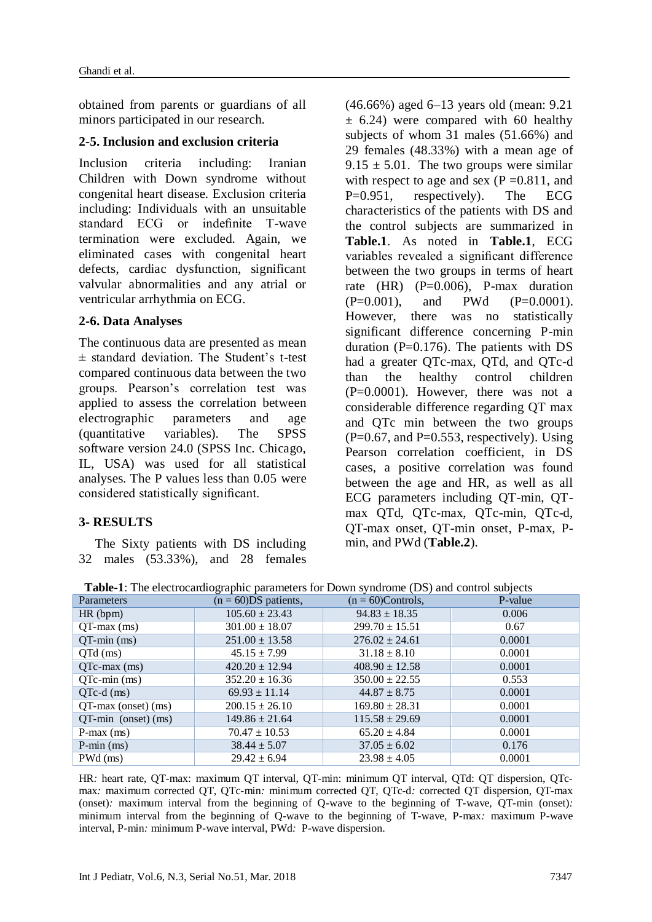obtained from parents or guardians of all minors participated in our research.

### **2-5. Inclusion and exclusion criteria**

Inclusion criteria including: Iranian Children with Down syndrome without congenital heart disease. Exclusion criteria including: Individuals with an unsuitable standard ECG or indefinite T-wave termination were excluded. Again, we eliminated cases with congenital heart defects, cardiac dysfunction, significant valvular abnormalities and any atrial or ventricular arrhythmia on ECG.

#### **2-6. Data Analyses**

The continuous data are presented as mean ± standard deviation. The Student's t-test compared continuous data between the two groups. Pearson's correlation test was applied to assess the correlation between electrographic parameters and age (quantitative variables). The SPSS software version 24.0 (SPSS Inc. Chicago, IL, USA) was used for all statistical analyses. The P values less than 0.05 were considered statistically significant.

#### **3- RESULTS**

 The Sixty patients with DS including 32 males (53.33%), and 28 females (46.66%) aged 6–13 years old (mean: 9.21  $\pm$  6.24) were compared with 60 healthy subjects of whom 31 males (51.66%) and 29 females (48.33%) with a mean age of  $9.15 \pm 5.01$ . The two groups were similar with respect to age and sex ( $P = 0.811$ , and P=0.951, respectively). The ECG characteristics of the patients with DS and the control subjects are summarized in **Table.1**. As noted in **Table.1**, ECG variables revealed a significant difference between the two groups in terms of heart rate  $(HR)$   $(P=0.006)$ , P-max duration  $(P=0.001)$ , and PWd  $(P=0.0001)$ . However, there was no statistically significant difference concerning P-min duration ( $P=0.176$ ). The patients with DS had a greater QTc-max, QTd, and QTc-d than the healthy control children  $(P=0.0001)$ . However, there was not a considerable difference regarding QT max and QTc min between the two groups  $(P=0.67, and P=0.553, respectively)$ . Using Pearson correlation coefficient, in DS cases, a positive correlation was found between the age and HR, as well as all ECG parameters including QT-min, QTmax QTd, QTc-max, QTc-min, QTc-d, QT-max onset, QT-min onset, P-max, Pmin, and PWd (**Table.2**).

|                                        | <b>Table-1</b> : The electrocardiographic parameters for Down syndrome (DS) and control subjects |                      |         |
|----------------------------------------|--------------------------------------------------------------------------------------------------|----------------------|---------|
| Parameters                             | $(n = 60)DS$ patients.                                                                           | $(n = 60)$ Controls, | P-value |
| $\mathbf{r}$ $\mathbf{r}$ $\mathbf{r}$ | 107, 00, 00, 10                                                                                  | $0.102 \pm 10.05$    | 0.001   |

| Parameters             | $\mu = 000$ patients, | $\mu = 00$ controls, | r-value |
|------------------------|-----------------------|----------------------|---------|
| $HR$ (bpm)             | $105.60 \pm 23.43$    | $94.83 \pm 18.35$    | 0.006   |
| $QT$ -max $(ms)$       | $301.00 \pm 18.07$    | $299.70 \pm 15.51$   | 0.67    |
| $QT-min(ms)$           | $251.00 \pm 13.58$    | $276.02 \pm 24.61$   | 0.0001  |
| $QTd$ (ms)             | $45.15 \pm 7.99$      | $31.18 \pm 8.10$     | 0.0001  |
| $QTc$ -max $(ms)$      | $420.20 \pm 12.94$    | $408.90 \pm 12.58$   | 0.0001  |
| $QTc$ -min $(ms)$      | $352.20 \pm 16.36$    | $350.00 \pm 22.55$   | 0.553   |
| $QTe-d$ (ms)           | $69.93 \pm 11.14$     | $44.87 \pm 8.75$     | 0.0001  |
| $QT$ -max (onset) (ms) | $200.15 \pm 26.10$    | $169.80 \pm 28.31$   | 0.0001  |
| $QT-min$ (onset) (ms)  | $149.86 \pm 21.64$    | $115.58 \pm 29.69$   | 0.0001  |
| $P$ -max $(ms)$        | $70.47 \pm 10.53$     | $65.20 \pm 4.84$     | 0.0001  |
| $P-min(ms)$            | $38.44 \pm 5.07$      | $37.05 \pm 6.02$     | 0.176   |
| $PWd$ (ms)             | $29.42 \pm 6.94$      | $23.98 \pm 4.05$     | 0.0001  |

HR*:* heart rate, QT-max: maximum QT interval, QT-min: minimum QT interval, QTd: QT dispersion, QTcmax*:* maximum corrected QT*,* QTc-min*:* minimum corrected QT, QTc-d*:* corrected QT dispersion, QT-max (onset)*:* maximum interval from the beginning of Q-wave to the beginning of T-wave, QT-min (onset)*:*  minimum interval from the beginning of Q-wave to the beginning of T-wave, P-max*:* maximum P-wave interval, P-min*:* minimum P-wave interval, PWd*:* P-wave dispersion.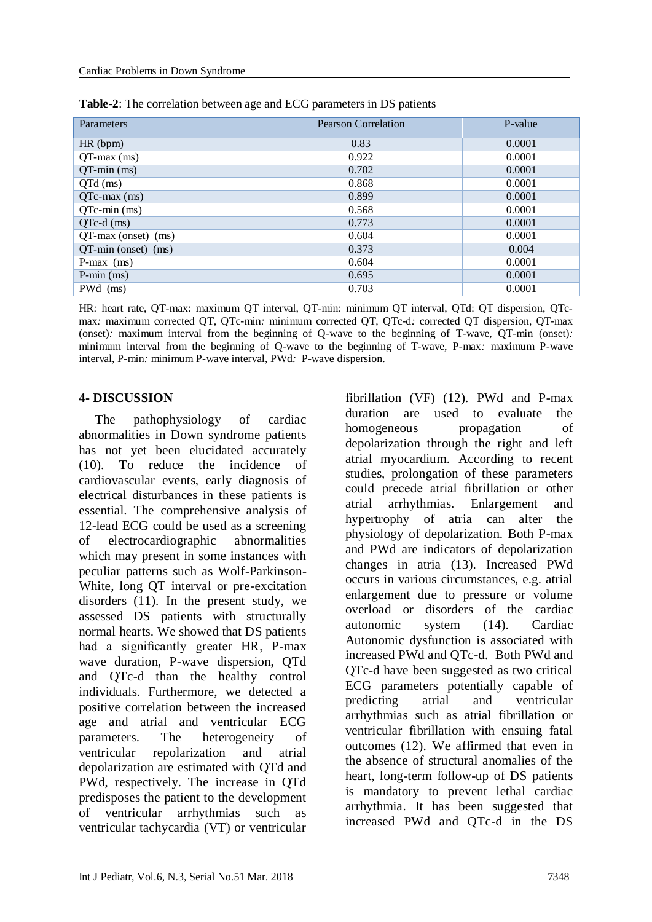| Parameters             | <b>Pearson Correlation</b> | P-value |
|------------------------|----------------------------|---------|
| HR(bpm)                | 0.83                       | 0.0001  |
| $QT$ -max $(ms)$       | 0.922                      | 0.0001  |
| $QT-min(ms)$           | 0.702                      | 0.0001  |
| $QTd$ (ms)             | 0.868                      | 0.0001  |
| $QTc$ -max $(ms)$      | 0.899                      | 0.0001  |
| $QTc$ -min $(ms)$      | 0.568                      | 0.0001  |
| $QTc-d$ (ms)           | 0.773                      | 0.0001  |
| $QT$ -max (onset) (ms) | 0.604                      | 0.0001  |
| QT-min (onset) (ms)    | 0.373                      | 0.004   |
| $P$ -max $(ms)$        | 0.604                      | 0.0001  |
| $P-min(ms)$            | 0.695                      | 0.0001  |
| $P Wd$ (ms)            | 0.703                      | 0.0001  |

**Table-2**: The correlation between age and ECG parameters in DS patients

HR*:* heart rate, QT-max: maximum QT interval, QT-min: minimum QT interval, QTd: QT dispersion, QTcmax*:* maximum corrected QT*,* QTc-min*:* minimum corrected QT, QTc-d*:* corrected QT dispersion, QT-max (onset)*:* maximum interval from the beginning of Q-wave to the beginning of T-wave, QT-min (onset)*:*  minimum interval from the beginning of Q-wave to the beginning of T-wave, P-max*:* maximum P-wave interval, P-min*:* minimum P-wave interval, PWd*:* P-wave dispersion.

#### **4- DISCUSSION**

 The pathophysiology of cardiac abnormalities in Down syndrome patients has not yet been elucidated accurately (10). To reduce the incidence of cardiovascular events, early diagnosis of electrical disturbances in these patients is essential. The comprehensive analysis of 12-lead ECG could be used as a screening of electrocardiographic abnormalities which may present in some instances with peculiar patterns such as Wolf-Parkinson-White, long QT interval or pre-excitation disorders (11). In the present study, we assessed DS patients with structurally normal hearts. We showed that DS patients had a significantly greater HR, P-max wave duration, P-wave dispersion, QTd and QTc-d than the healthy control individuals. Furthermore, we detected a positive correlation between the increased age and atrial and ventricular ECG parameters. The heterogeneity of ventricular repolarization and atrial depolarization are estimated with QTd and PWd, respectively. The increase in QTd predisposes the patient to the development of ventricular arrhythmias such as ventricular tachycardia (VT) or ventricular fibrillation (VF) (12). PWd and P-max duration are used to evaluate the homogeneous propagation of depolarization through the right and left atrial myocardium. According to recent studies, prolongation of these parameters could precede atrial fibrillation or other atrial arrhythmias. Enlargement and hypertrophy of atria can alter the physiology of depolarization. Both P-max and PWd are indicators of depolarization changes in atria (13). Increased PWd occurs in various circumstances, e.g. atrial enlargement due to pressure or volume overload or disorders of the cardiac autonomic system (14). Cardiac Autonomic dysfunction is associated with increased PWd and QTc-d. Both PWd and QTc-d have been suggested as two critical ECG parameters potentially capable of predicting atrial and ventricular arrhythmias such as atrial fibrillation or ventricular fibrillation with ensuing fatal outcomes (12). We affirmed that even in the absence of structural anomalies of the heart, long-term follow-up of DS patients is mandatory to prevent lethal cardiac arrhythmia. It has been suggested that increased PWd and QTc-d in the DS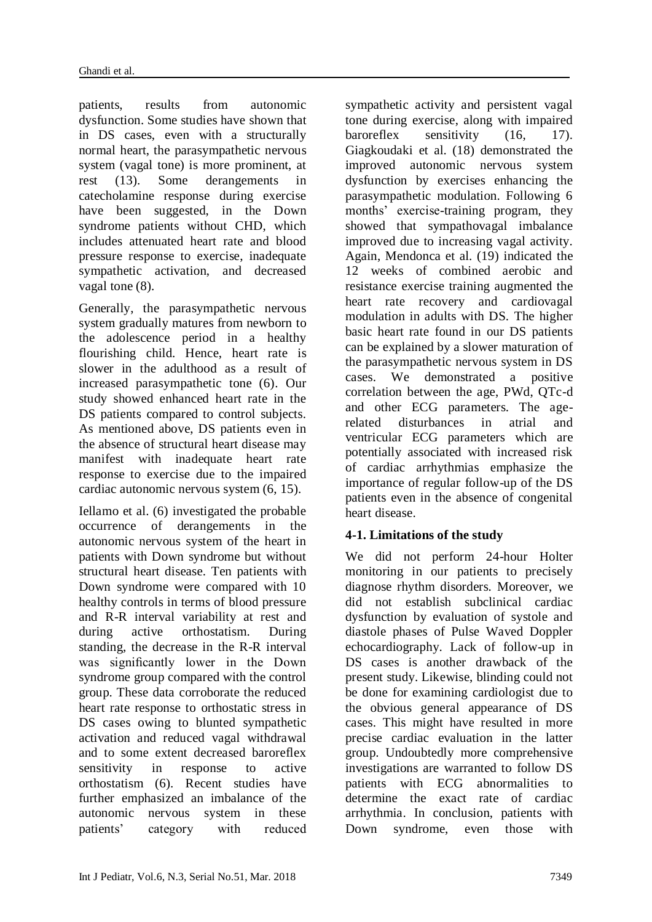patients, results from autonomic dysfunction. Some studies have shown that in DS cases, even with a structurally normal heart, the parasympathetic nervous system (vagal tone) is more prominent, at rest (13). Some derangements in catecholamine response during exercise have been suggested, in the Down syndrome patients without CHD, which includes attenuated heart rate and blood pressure response to exercise, inadequate sympathetic activation, and decreased vagal tone (8).

Generally, the parasympathetic nervous system gradually matures from newborn to the adolescence period in a healthy flourishing child. Hence, heart rate is slower in the adulthood as a result of increased parasympathetic tone (6). Our study showed enhanced heart rate in the DS patients compared to control subjects. As mentioned above, DS patients even in the absence of structural heart disease may manifest with inadequate heart rate response to exercise due to the impaired cardiac autonomic nervous system (6, 15).

Iellamo et al. (6) investigated the probable occurrence of derangements in the autonomic nervous system of the heart in patients with Down syndrome but without structural heart disease. Ten patients with Down syndrome were compared with 10 healthy controls in terms of blood pressure and R-R interval variability at rest and during active orthostatism. During standing, the decrease in the R-R interval was significantly lower in the Down syndrome group compared with the control group. These data corroborate the reduced heart rate response to orthostatic stress in DS cases owing to blunted sympathetic activation and reduced vagal withdrawal and to some extent decreased baroreflex sensitivity in response to active orthostatism (6). Recent studies have further emphasized an imbalance of the autonomic nervous system in these patients' category with reduced

sympathetic activity and persistent vagal tone during exercise, along with impaired baroreflex sensitivity (16, 17). Giagkoudaki et al. (18) demonstrated the improved autonomic nervous system dysfunction by exercises enhancing the parasympathetic modulation. Following 6 months' exercise-training program, they showed that sympathovagal imbalance improved due to increasing vagal activity. Again, Mendonca et al. (19) indicated the 12 weeks of combined aerobic and resistance exercise training augmented the heart rate recovery and cardiovagal modulation in adults with DS. The higher basic heart rate found in our DS patients can be explained by a slower maturation of the parasympathetic nervous system in DS cases. We demonstrated a positive correlation between the age, PWd, QTc-d and other ECG parameters. The agerelated disturbances in atrial and ventricular ECG parameters which are potentially associated with increased risk of cardiac arrhythmias emphasize the importance of regular follow-up of the DS patients even in the absence of congenital heart disease.

## **4-1. Limitations of the study**

We did not perform 24-hour Holter monitoring in our patients to precisely diagnose rhythm disorders. Moreover, we did not establish subclinical cardiac dysfunction by evaluation of systole and diastole phases of Pulse Waved Doppler echocardiography. Lack of follow-up in DS cases is another drawback of the present study. Likewise, blinding could not be done for examining cardiologist due to the obvious general appearance of DS cases. This might have resulted in more precise cardiac evaluation in the latter group. Undoubtedly more comprehensive investigations are warranted to follow DS patients with ECG abnormalities to determine the exact rate of cardiac arrhythmia. In conclusion, patients with Down syndrome, even those with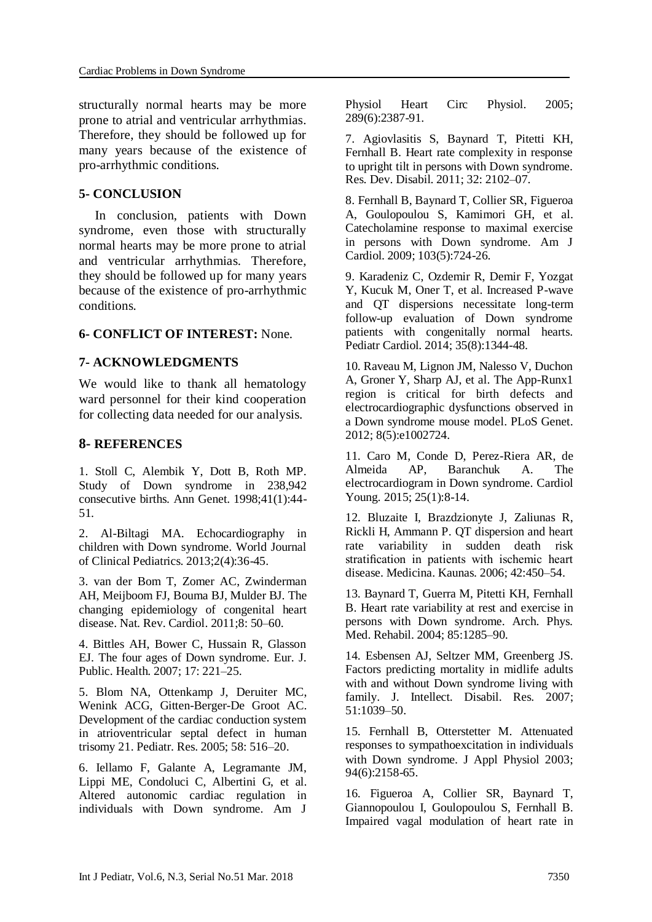structurally normal hearts may be more prone to atrial and ventricular arrhythmias. Therefore, they should be followed up for many years because of the existence of pro-arrhythmic conditions.

#### **5- CONCLUSION**

 In conclusion, patients with Down syndrome, even those with structurally normal hearts may be more prone to atrial and ventricular arrhythmias. Therefore, they should be followed up for many years because of the existence of pro-arrhythmic conditions.

#### **6- CONFLICT OF INTEREST:** None.

#### **7- ACKNOWLEDGMENTS**

We would like to thank all hematology ward personnel for their kind cooperation for collecting data needed for our analysis.

#### **8- REFERENCES**

1. Stoll C, Alembik Y, Dott B, Roth MP. Study of Down syndrome in 238,942 consecutive births. Ann Genet. 1998;41(1):44- 51.

2. Al-Biltagi MA. Echocardiography in children with Down syndrome. World Journal of Clinical Pediatrics. 2013;2(4):36-45.

3. van der Bom T, Zomer AC, Zwinderman AH, Meijboom FJ, Bouma BJ, Mulder BJ. The changing epidemiology of congenital heart disease. Nat. Rev. Cardiol. 2011;8: 50–60.

4. Bittles AH, Bower C, Hussain R, Glasson EJ. The four ages of Down syndrome. Eur. J. Public. Health. 2007; 17: 221–25.

5. Blom NA, Ottenkamp J, Deruiter MC, Wenink ACG, Gitten-Berger-De Groot AC. Development of the cardiac conduction system in atrioventricular septal defect in human trisomy 21. Pediatr. Res. 2005; 58: 516–20.

6. Iellamo F, Galante A, Legramante JM, Lippi ME, Condoluci C, Albertini G, et al. Altered autonomic cardiac regulation in individuals with Down syndrome. Am J Physiol Heart Circ Physiol. 2005; 289(6):2387-91.

7. Agiovlasitis S, Baynard T, Pitetti KH, Fernhall B. Heart rate complexity in response to upright tilt in persons with Down syndrome. Res. Dev. Disabil. 2011; 32: 2102–07.

8. Fernhall B, Baynard T, Collier SR, Figueroa A, Goulopoulou S, Kamimori GH, et al. Catecholamine response to maximal exercise in persons with Down syndrome. Am J Cardiol. 2009; 103(5):724-26.

9. Karadeniz C, Ozdemir R, Demir F, Yozgat Y, Kucuk M, Oner T, et al. Increased P-wave and QT dispersions necessitate long-term follow-up evaluation of Down syndrome patients with congenitally normal hearts. Pediatr Cardiol. 2014; 35(8):1344-48.

10. Raveau M, Lignon JM, Nalesso V, Duchon A, Groner Y, Sharp AJ, et al. The App-Runx1 region is critical for birth defects and electrocardiographic dysfunctions observed in a Down syndrome mouse model. PLoS Genet. 2012; 8(5):e1002724.

11. Caro M, Conde D, Perez-Riera AR, de Almeida AP, Baranchuk A. The electrocardiogram in Down syndrome. Cardiol Young. 2015; 25(1):8-14.

12. Bluzaite I, Brazdzionyte J, Zaliunas R, Rickli H, Ammann P. QT dispersion and heart rate variability in sudden death risk stratification in patients with ischemic heart disease. Medicina. Kaunas. 2006; 42:450–54.

13. Baynard T, Guerra M, Pitetti KH, Fernhall B. Heart rate variability at rest and exercise in persons with Down syndrome. Arch. Phys. Med. Rehabil. 2004; 85:1285–90.

14. Esbensen AJ, Seltzer MM, Greenberg JS. Factors predicting mortality in midlife adults with and without Down syndrome living with family. J. Intellect. Disabil. Res. 2007; 51:1039–50.

15. Fernhall B, Otterstetter M. Attenuated responses to sympathoexcitation in individuals with Down syndrome. J Appl Physiol 2003; 94(6):2158-65.

16. Figueroa A, Collier SR, Baynard T, Giannopoulou I, Goulopoulou S, Fernhall B. Impaired vagal modulation of heart rate in